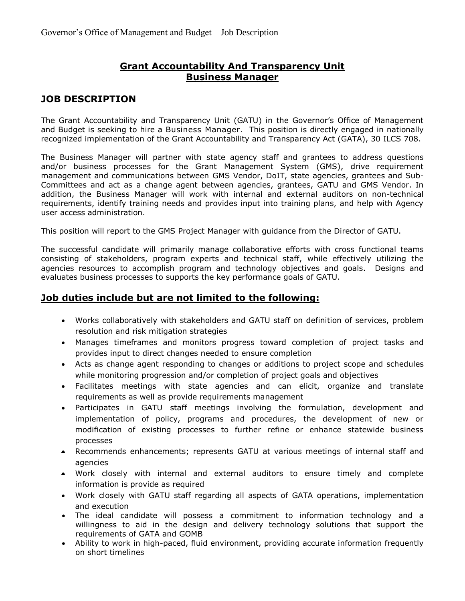## **Grant Accountability And Transparency Unit Business Manager**

# **JOB DESCRIPTION**

The Grant Accountability and Transparency Unit (GATU) in the Governor's Office of Management and Budget is seeking to hire a Business Manager. This position is directly engaged in nationally recognized implementation of the Grant Accountability and Transparency Act (GATA), 30 ILCS 708.

The Business Manager will partner with state agency staff and grantees to address questions and/or business processes for the Grant Management System (GMS), drive requirement management and communications between GMS Vendor, DoIT, state agencies, grantees and Sub-Committees and act as a change agent between agencies, grantees, GATU and GMS Vendor. In addition, the Business Manager will work with internal and external auditors on non-technical requirements, identify training needs and provides input into training plans, and help with Agency user access administration.

This position will report to the GMS Project Manager with guidance from the Director of GATU.

The successful candidate will primarily manage collaborative efforts with cross functional teams consisting of stakeholders, program experts and technical staff, while effectively utilizing the agencies resources to accomplish program and technology objectives and goals. Designs and evaluates business processes to supports the key performance goals of GATU.

## **Job duties include but are not limited to the following:**

- Works collaboratively with stakeholders and GATU staff on definition of services, problem resolution and risk mitigation strategies
- Manages timeframes and monitors progress toward completion of project tasks and provides input to direct changes needed to ensure completion
- Acts as change agent responding to changes or additions to project scope and schedules while monitoring progression and/or completion of project goals and objectives
- Facilitates meetings with state agencies and can elicit, organize and translate requirements as well as provide requirements management
- Participates in GATU staff meetings involving the formulation, development and implementation of policy, programs and procedures, the development of new or modification of existing processes to further refine or enhance statewide business processes
- Recommends enhancements; represents GATU at various meetings of internal staff and agencies
- Work closely with internal and external auditors to ensure timely and complete information is provide as required
- Work closely with GATU staff regarding all aspects of GATA operations, implementation and execution
- The ideal candidate will possess a commitment to information technology and a willingness to aid in the design and delivery technology solutions that support the requirements of GATA and GOMB
- Ability to work in high-paced, fluid environment, providing accurate information frequently on short timelines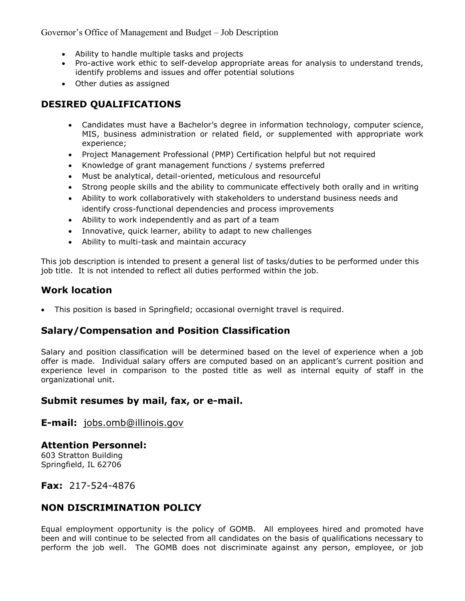Governor's Office of Management and Budget – Job Description

- Ability to handle multiple tasks and projects
- Pro-active work ethic to self-develop appropriate areas for analysis to understand trends, identify problems and issues and offer potential solutions
- Other duties as assigned

# **DESIRED QUALIFICATIONS**

- Candidates must have a Bachelor's degree in information technology, computer science, MIS, business administration or related field, or supplemented with appropriate work experience;
- Project Management Professional (PMP) Certification helpful but not required
- Knowledge of grant management functions / systems preferred
- Must be analytical, detail-oriented, meticulous and resourceful
- Strong people skills and the ability to communicate effectively both orally and in writing
- Ability to work collaboratively with stakeholders to understand business needs and identify cross-functional dependencies and process improvements
- Ability to work independently and as part of a team
- Innovative, quick learner, ability to adapt to new challenges
- Ability to multi-task and maintain accuracy

This job description is intended to present a general list of tasks/duties to be performed under this job title. It is not intended to reflect all duties performed within the job.

#### **Work location**

This position is based in Springfield; occasional overnight travel is required.

## **Salary/Compensation and Position Classification**

Salary and position classification will be determined based on the level of experience when a job offer is made. Individual salary offers are computed based on an applicant's current position and experience level in comparison to the posted title as well as internal equity of staff in the organizational unit.

## **Submit resumes by mail, fax, or e-mail.**

#### **E-mail:** [jobs.omb@illinois.gov](mailto:jobs.omb@illinois.gov)

#### **Attention Personnel:**

603 Stratton Building Springfield, IL 62706

#### **Fax:** 217-524-4876

## **NON DISCRIMINATION POLICY**

Equal employment opportunity is the policy of GOMB. All employees hired and promoted have been and will continue to be selected from all candidates on the basis of qualifications necessary to perform the job well. The GOMB does not discriminate against any person, employee, or job